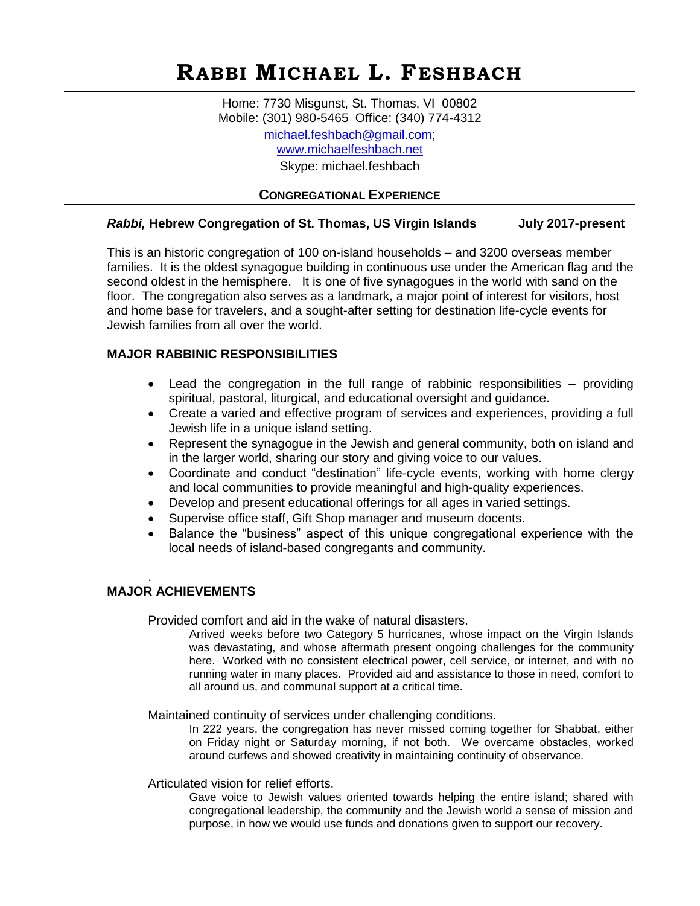# **RABBI MICHAEL L. FESHBACH**

Home: 7730 Misgunst, St. Thomas, VI 00802 Mobile: (301) 980-5465 Office: (340) 774-4312 [michael.feshbach@gmail.com;](mailto:michael.feshbach@gmail.com) <www.michaelfeshbach.net> Skype: michael.feshbach

## **CONGREGATIONAL EXPERIENCE**

## *Rabbi,* **Hebrew Congregation of St. Thomas, US Virgin Islands July 2017-present**

This is an historic congregation of 100 on-island households – and 3200 overseas member families. It is the oldest synagogue building in continuous use under the American flag and the second oldest in the hemisphere. It is one of five synagogues in the world with sand on the floor. The congregation also serves as a landmark, a major point of interest for visitors, host and home base for travelers, and a sought-after setting for destination life-cycle events for Jewish families from all over the world.

## **MAJOR RABBINIC RESPONSIBILITIES**

- Lead the congregation in the full range of rabbinic responsibilities providing spiritual, pastoral, liturgical, and educational oversight and guidance.
- Create a varied and effective program of services and experiences, providing a full Jewish life in a unique island setting.
- Represent the synagogue in the Jewish and general community, both on island and in the larger world, sharing our story and giving voice to our values.
- Coordinate and conduct "destination" life-cycle events, working with home clergy and local communities to provide meaningful and high-quality experiences.
- Develop and present educational offerings for all ages in varied settings.
- Supervise office staff, Gift Shop manager and museum docents.
- Balance the "business" aspect of this unique congregational experience with the local needs of island-based congregants and community.

#### . **MAJOR ACHIEVEMENTS**

Provided comfort and aid in the wake of natural disasters.

Arrived weeks before two Category 5 hurricanes, whose impact on the Virgin Islands was devastating, and whose aftermath present ongoing challenges for the community here. Worked with no consistent electrical power, cell service, or internet, and with no running water in many places. Provided aid and assistance to those in need, comfort to all around us, and communal support at a critical time.

Maintained continuity of services under challenging conditions.

In 222 years, the congregation has never missed coming together for Shabbat, either on Friday night or Saturday morning, if not both. We overcame obstacles, worked around curfews and showed creativity in maintaining continuity of observance.

Articulated vision for relief efforts.

Gave voice to Jewish values oriented towards helping the entire island; shared with congregational leadership, the community and the Jewish world a sense of mission and purpose, in how we would use funds and donations given to support our recovery.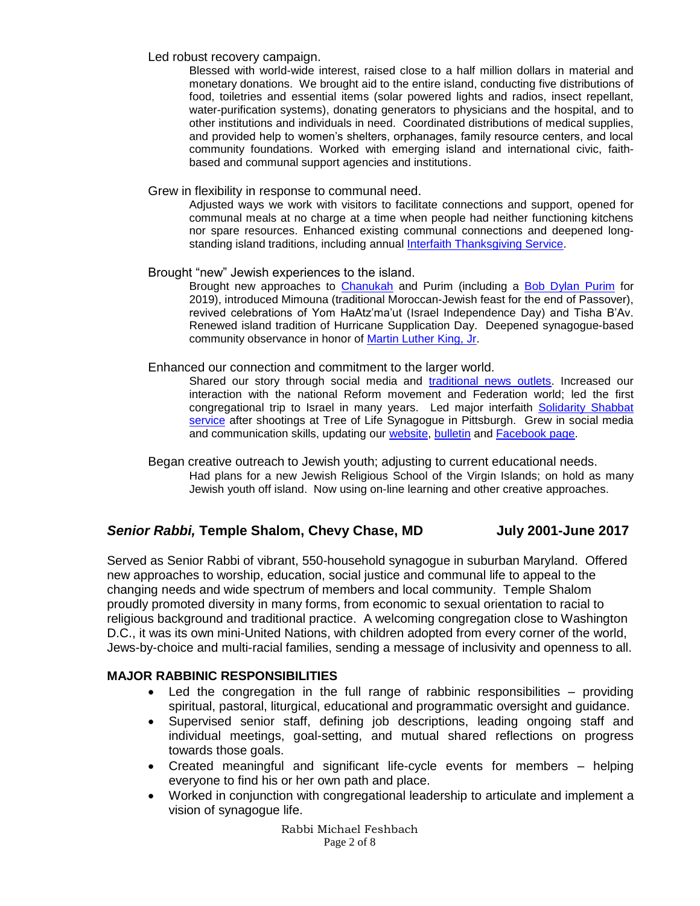Led robust recovery campaign.

Blessed with world-wide interest, raised close to a half million dollars in material and monetary donations. We brought aid to the entire island, conducting five distributions of food, toiletries and essential items (solar powered lights and radios, insect repellant, water-purification systems), donating generators to physicians and the hospital, and to other institutions and individuals in need. Coordinated distributions of medical supplies, and provided help to women's shelters, orphanages, family resource centers, and local community foundations. Worked with emerging island and international civic, faithbased and communal support agencies and institutions.

#### Grew in flexibility in response to communal need.

Adjusted ways we work with visitors to facilitate connections and support, opened for communal meals at no charge at a time when people had neither functioning kitchens nor spare resources. Enhanced existing communal connections and deepened long-standing island traditions, including annual Interfaith [Thanksgiving Service.](https://docs.wixstatic.com/ugd/68f423_28274108aeb04a82b75c95abd18bb8d0.pdf)

#### Brought "new" Jewish experiences to the island.

Brought new approaches to [Chanukah](https://docs.wixstatic.com/ugd/68f423_f7a799cff7634cdaba933b6c3a034b6d.pdf) and Purim (including a Bob Dylan [Purim](https://docs.wixstatic.com/ugd/68f423_ee4d17fd24d746669200f2086b8a17d5.pdf) for 2019), introduced Mimouna (traditional Moroccan-Jewish feast for the end of Passover), revived celebrations of Yom HaAtz'ma'ut (Israel Independence Day) and Tisha B'Av. Renewed island tradition of Hurricane Supplication Day. Deepened synagogue-based community observance in honor of [Martin Luther King, Jr.](https://docs.wixstatic.com/ugd/68f423_c401caac26b740c8b3e60cce548b21d8.pdf)

#### Enhanced our connection and commitment to the larger world.

Shared our story through social media and [traditional news outlets.](https://www.michaelfeshbach.net/publicity) Increased our interaction with the national Reform movement and Federation world; led the first congregational trip to Israel in many years. Led major interfaith [Solidarity Shabbat](https://docs.wixstatic.com/ugd/68f423_834ceeb4283c459bb5b370e51e1d6939.pdf)  [service](https://docs.wixstatic.com/ugd/68f423_834ceeb4283c459bb5b370e51e1d6939.pdf) after shootings at Tree of Life Synagogue in Pittsburgh. Grew in social media and communication skills, updating our [website,](http://www.synagogue.vi/) [bulletin](https://synagogue.vi/the-hourglass-our-monthly-bulletin/) and [Facebook page.](https://www.facebook.com/synagoguevi/)

Began creative outreach to Jewish youth; adjusting to current educational needs. Had plans for a new Jewish Religious School of the Virgin Islands; on hold as many Jewish youth off island. Now using on-line learning and other creative approaches.

## *Senior Rabbi,* **Temple Shalom, Chevy Chase, MD July 2001-June 2017**

Served as Senior Rabbi of vibrant, 550-household synagogue in suburban Maryland. Offered new approaches to worship, education, social justice and communal life to appeal to the changing needs and wide spectrum of members and local community. Temple Shalom proudly promoted diversity in many forms, from economic to sexual orientation to racial to religious background and traditional practice. A welcoming congregation close to Washington D.C., it was its own mini-United Nations, with children adopted from every corner of the world, Jews-by-choice and multi-racial families, sending a message of inclusivity and openness to all.

## **MAJOR RABBINIC RESPONSIBILITIES**

- Led the congregation in the full range of rabbinic responsibilities providing spiritual, pastoral, liturgical, educational and programmatic oversight and guidance.
- Supervised senior staff, defining job descriptions, leading ongoing staff and individual meetings, goal-setting, and mutual shared reflections on progress towards those goals.
- Created meaningful and significant life-cycle events for members helping everyone to find his or her own path and place.
- Worked in conjunction with congregational leadership to articulate and implement a vision of synagogue life.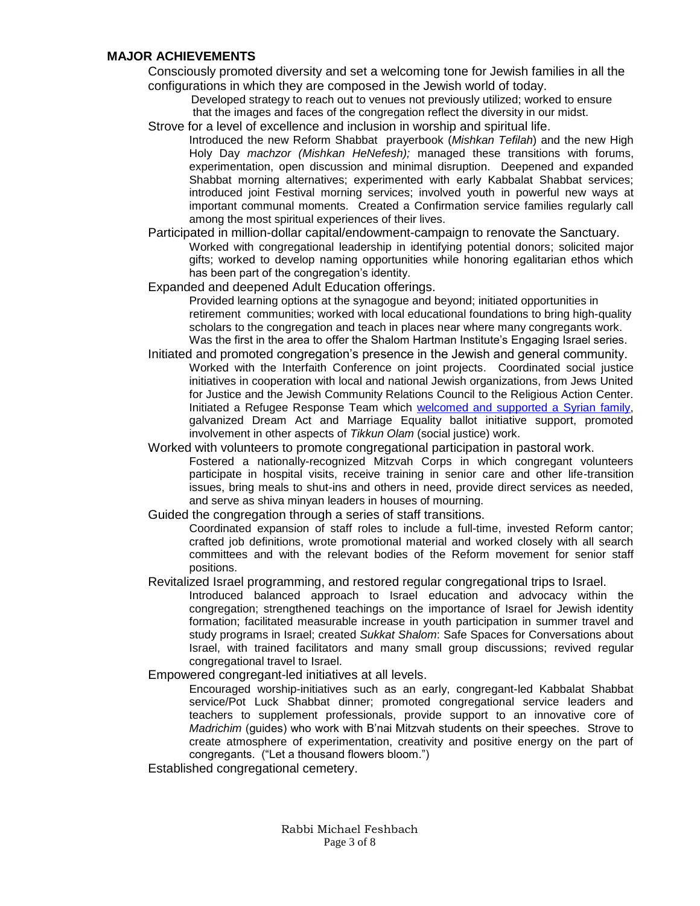## **MAJOR ACHIEVEMENTS**

Consciously promoted diversity and set a welcoming tone for Jewish families in all the configurations in which they are composed in the Jewish world of today.

 Developed strategy to reach out to venues not previously utilized; worked to ensure that the images and faces of the congregation reflect the diversity in our midst.

Strove for a level of excellence and inclusion in worship and spiritual life.

Introduced the new Reform Shabbat prayerbook (*Mishkan Tefilah*) and the new High Holy Day *machzor (Mishkan HeNefesh);* managed these transitions with forums, experimentation, open discussion and minimal disruption. Deepened and expanded Shabbat morning alternatives; experimented with early Kabbalat Shabbat services; introduced joint Festival morning services; involved youth in powerful new ways at important communal moments. Created a Confirmation service families regularly call among the most spiritual experiences of their lives.

Participated in million-dollar capital/endowment-campaign to renovate the Sanctuary. Worked with congregational leadership in identifying potential donors; solicited major gifts; worked to develop naming opportunities while honoring egalitarian ethos which has been part of the congregation's identity.

Expanded and deepened Adult Education offerings.

Provided learning options at the synagogue and beyond; initiated opportunities in retirement communities; worked with local educational foundations to bring high-quality scholars to the congregation and teach in places near where many congregants work. Was the first in the area to offer the Shalom Hartman Institute's Engaging Israel series.

- Initiated and promoted congregation's presence in the Jewish and general community. Worked with the Interfaith Conference on joint projects. Coordinated social justice initiatives in cooperation with local and national Jewish organizations, from Jews United for Justice and the Jewish Community Relations Council to the Religious Action Center. Initiated a Refugee Response Team which [welcomed and supported a Syrian family,](http://ejewishphilanthropy.com/how-can-we-not-temple-shalom-chevy-chase-responds-to-the-refugee-crisis/) galvanized Dream Act and Marriage Equality ballot initiative support, promoted involvement in other aspects of *Tikkun Olam* (social justice) work.
- Worked with volunteers to promote congregational participation in pastoral work. Fostered a nationally-recognized Mitzvah Corps in which congregant volunteers participate in hospital visits, receive training in senior care and other life-transition issues, bring meals to shut-ins and others in need, provide direct services as needed, and serve as shiva minyan leaders in houses of mourning.
- Guided the congregation through a series of staff transitions.

Coordinated expansion of staff roles to include a full-time, invested Reform cantor; crafted job definitions, wrote promotional material and worked closely with all search committees and with the relevant bodies of the Reform movement for senior staff positions.

Revitalized Israel programming, and restored regular congregational trips to Israel.

Introduced balanced approach to Israel education and advocacy within the congregation; strengthened teachings on the importance of Israel for Jewish identity formation; facilitated measurable increase in youth participation in summer travel and study programs in Israel; created *Sukkat Shalom*: Safe Spaces for Conversations about Israel, with trained facilitators and many small group discussions; revived regular congregational travel to Israel.

Empowered congregant-led initiatives at all levels.

Encouraged worship-initiatives such as an early, congregant-led Kabbalat Shabbat service/Pot Luck Shabbat dinner; promoted congregational service leaders and teachers to supplement professionals, provide support to an innovative core of *Madrichim* (guides) who work with B'nai Mitzvah students on their speeches. Strove to create atmosphere of experimentation, creativity and positive energy on the part of congregants. ("Let a thousand flowers bloom.")

Established congregational cemetery.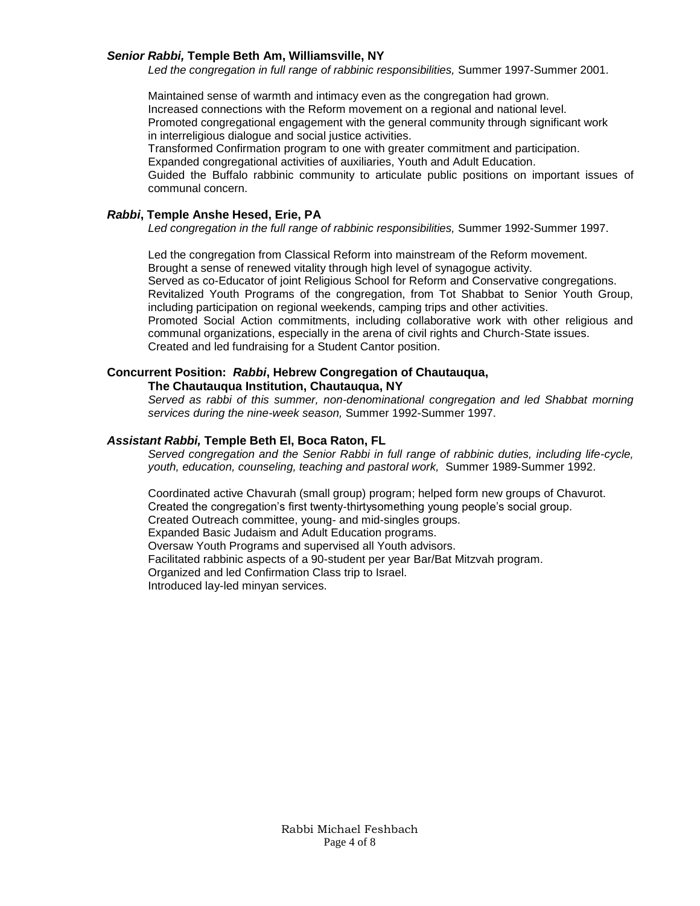#### *Senior Rabbi,* **Temple Beth Am, Williamsville, NY**

*Led the congregation in full range of rabbinic responsibilities,* Summer 1997-Summer 2001.

Maintained sense of warmth and intimacy even as the congregation had grown. Increased connections with the Reform movement on a regional and national level. Promoted congregational engagement with the general community through significant work in interreligious dialogue and social justice activities.

Transformed Confirmation program to one with greater commitment and participation. Expanded congregational activities of auxiliaries, Youth and Adult Education.

Guided the Buffalo rabbinic community to articulate public positions on important issues of communal concern.

#### *Rabbi***, Temple Anshe Hesed, Erie, PA**

Led congregation in the full range of rabbinic responsibilities, Summer 1992-Summer 1997.

Led the congregation from Classical Reform into mainstream of the Reform movement. Brought a sense of renewed vitality through high level of synagogue activity. Served as co-Educator of joint Religious School for Reform and Conservative congregations. Revitalized Youth Programs of the congregation, from Tot Shabbat to Senior Youth Group, including participation on regional weekends, camping trips and other activities. Promoted Social Action commitments, including collaborative work with other religious and communal organizations, especially in the arena of civil rights and Church-State issues. Created and led fundraising for a Student Cantor position.

#### **Concurrent Position:** *Rabbi***, Hebrew Congregation of Chautauqua, The Chautauqua Institution, Chautauqua, NY**

*Served as rabbi of this summer, non-denominational congregation and led Shabbat morning services during the nine-week season,* Summer 1992-Summer 1997.

#### *Assistant Rabbi,* **Temple Beth El, Boca Raton, FL**

*Served congregation and the Senior Rabbi in full range of rabbinic duties, including life-cycle, youth, education, counseling, teaching and pastoral work,* Summer 1989-Summer 1992.

Coordinated active Chavurah (small group) program; helped form new groups of Chavurot. Created the congregation's first twenty-thirtysomething young people's social group. Created Outreach committee, young- and mid-singles groups. Expanded Basic Judaism and Adult Education programs. Oversaw Youth Programs and supervised all Youth advisors. Facilitated rabbinic aspects of a 90-student per year Bar/Bat Mitzvah program. Organized and led Confirmation Class trip to Israel. Introduced lay-led minyan services.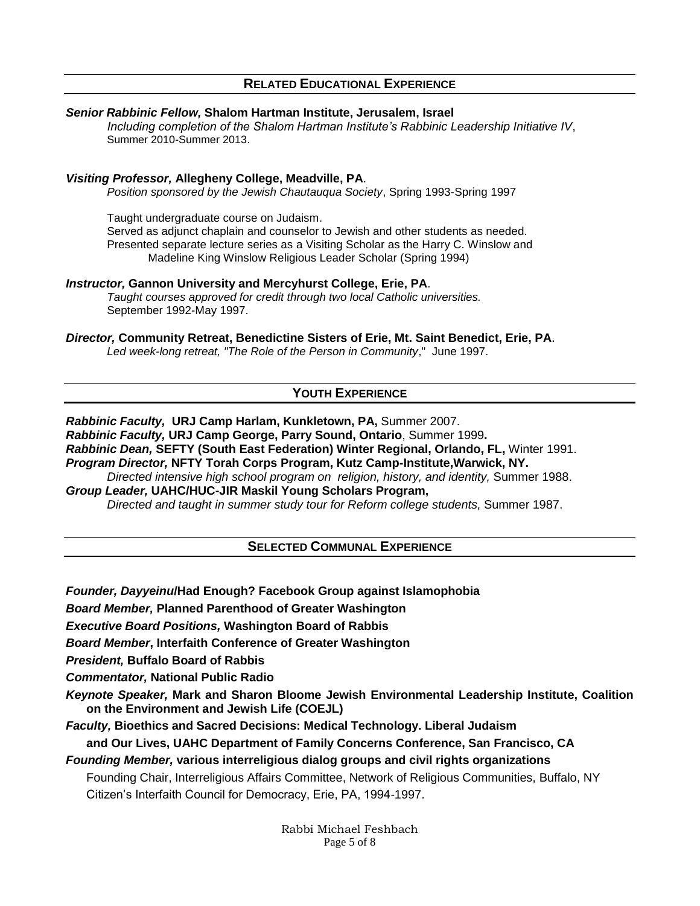## **RELATED EDUCATIONAL EXPERIENCE**

## *Senior Rabbinic Fellow,* **Shalom Hartman Institute, Jerusalem, Israel**

*Including completion of the Shalom Hartman Institute's Rabbinic Leadership Initiative IV*, Summer 2010-Summer 2013.

#### *Visiting Professor,* **Allegheny College, Meadville, PA**.

*Position sponsored by the Jewish Chautauqua Society*, Spring 1993-Spring 1997

Taught undergraduate course on Judaism. Served as adjunct chaplain and counselor to Jewish and other students as needed. Presented separate lecture series as a Visiting Scholar as the Harry C. Winslow and Madeline King Winslow Religious Leader Scholar (Spring 1994)

#### *Instructor,* **Gannon University and Mercyhurst College, Erie, PA**.

*Taught courses approved for credit through two local Catholic universities.* September 1992-May 1997.

#### *Director,* **Community Retreat, Benedictine Sisters of Erie, Mt. Saint Benedict, Erie, PA**.

*Led week-long retreat, "The Role of the Person in Community*," June 1997.

# **YOUTH EXPERIENCE**

*Rabbinic Faculty,* **URJ Camp Harlam, Kunkletown, PA,** Summer 2007. *Rabbinic Faculty,* **URJ Camp George, Parry Sound, Ontario**, Summer 1999**.** *Rabbinic Dean,* **SEFTY (South East Federation) Winter Regional, Orlando, FL,** Winter 1991. *Program Director,* **NFTY Torah Corps Program, Kutz Camp-Institute,Warwick, NY.** 

*Directed intensive high school program on religion, history, and identity,* Summer 1988. *Group Leader,* **UAHC/HUC-JIR Maskil Young Scholars Program,** 

*Directed and taught in summer study tour for Reform college students,* Summer 1987.

## **SELECTED COMMUNAL EXPERIENCE**

*Founder, Dayyeinu***/Had Enough? Facebook Group against Islamophobia**

*Board Member,* **Planned Parenthood of Greater Washington**

*Executive Board Positions,* **Washington Board of Rabbis**

*Board Member***, Interfaith Conference of Greater Washington**

*President,* **Buffalo Board of Rabbis**

*Commentator,* **National Public Radio**

*Keynote Speaker,* **Mark and Sharon Bloome Jewish Environmental Leadership Institute, Coalition on the Environment and Jewish Life (COEJL)**

*Faculty,* **Bioethics and Sacred Decisions: Medical Technology. Liberal Judaism** 

**and Our Lives, UAHC Department of Family Concerns Conference, San Francisco, CA**

## *Founding Member,* **various interreligious dialog groups and civil rights organizations**

Founding Chair, Interreligious Affairs Committee, Network of Religious Communities, Buffalo, NY Citizen's Interfaith Council for Democracy, Erie, PA, 1994-1997.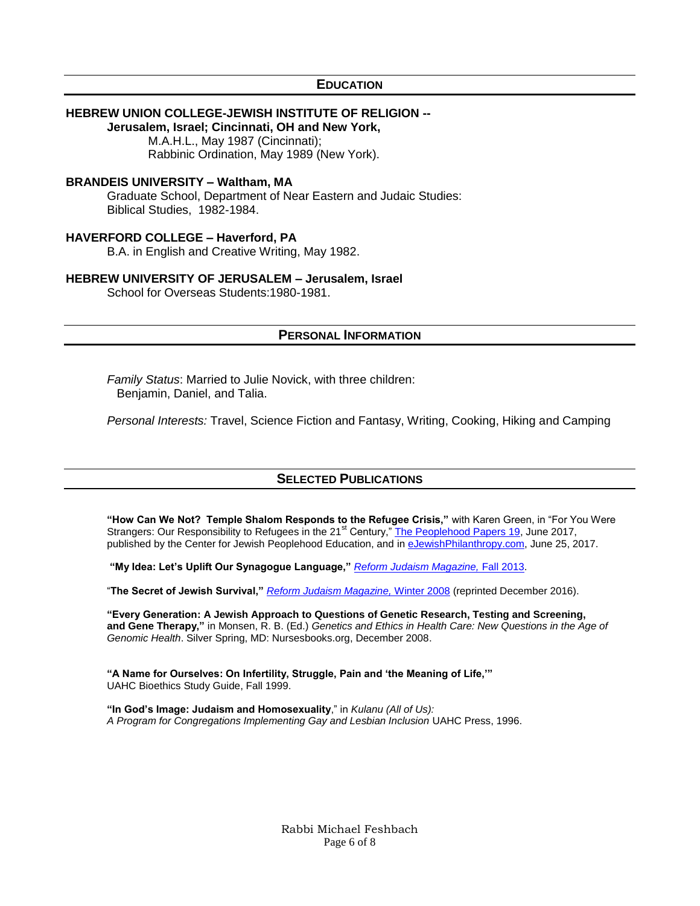#### **EDUCATION**

#### **HEBREW UNION COLLEGE-JEWISH INSTITUTE OF RELIGION --**

**Jerusalem, Israel; Cincinnati, OH and New York,**  M.A.H.L., May 1987 (Cincinnati); Rabbinic Ordination, May 1989 (New York).

#### **BRANDEIS UNIVERSITY – Waltham, MA**

Graduate School, Department of Near Eastern and Judaic Studies: Biblical Studies, 1982-1984.

#### **HAVERFORD COLLEGE – Haverford, PA**

B.A. in English and Creative Writing, May 1982.

#### **HEBREW UNIVERSITY OF JERUSALEM – Jerusalem, Israel**

School for Overseas Students:1980-1981.

#### **PERSONAL INFORMATION**

*Family Status*: Married to Julie Novick, with three children: Benjamin, Daniel, and Talia.

*Personal Interests:* Travel, Science Fiction and Fantasy, Writing, Cooking, Hiking and Camping

#### **SELECTED PUBLICATIONS**

**"How Can We Not? Temple Shalom Responds to the Refugee Crisis,"** with Karen Green, in "For You Were Strangers: Our Responsibility to Refugees in the 21<sup>st</sup> Century," [The Peoplehood Papers 19,](https://jpeoplehood.org/wp-content/uploads/2017/06/Peoplehood19.pdf) June 2017, published by the Center for Jewish Peoplehood Education, and in [eJewishPhilanthropy.com,](http://ejewishphilanthropy.com/how-can-we-not-temple-shalom-chevy-chase-responds-to-the-refugee-crisis/) June 25, 2017.

**"My Idea: Let's Uplift Our Synagogue Language,"** *[Reform Judaism Magazine,](https://reformjudaismmag.org/past-issues/fall2013/uplift-language)* Fall 2013.

"**The Secret of Jewish Survival,"** *[Reform Judaism Magazine,](https://reformjudaism.org/blog/2016/12/12/hanukkah-secret-strategy-jewish-survival)* Winter 2008 (reprinted December 2016).

**"Every Generation: A Jewish Approach to Questions of Genetic Research, Testing and Screening, and Gene Therapy,"** in Monsen, R. B. (Ed.) *Genetics and Ethics in Health Care: New Questions in the Age of Genomic Health*. Silver Spring, MD: Nursesbooks.org, December 2008.

**"A Name for Ourselves: On Infertility, Struggle, Pain and 'the Meaning of Life,'"** UAHC Bioethics Study Guide, Fall 1999.

**"In God's Image: Judaism and Homosexuality**," in *Kulanu (All of Us): A Program for Congregations Implementing Gay and Lesbian Inclusion* UAHC Press, 1996.

> Rabbi Michael Feshbach Page 6 of 8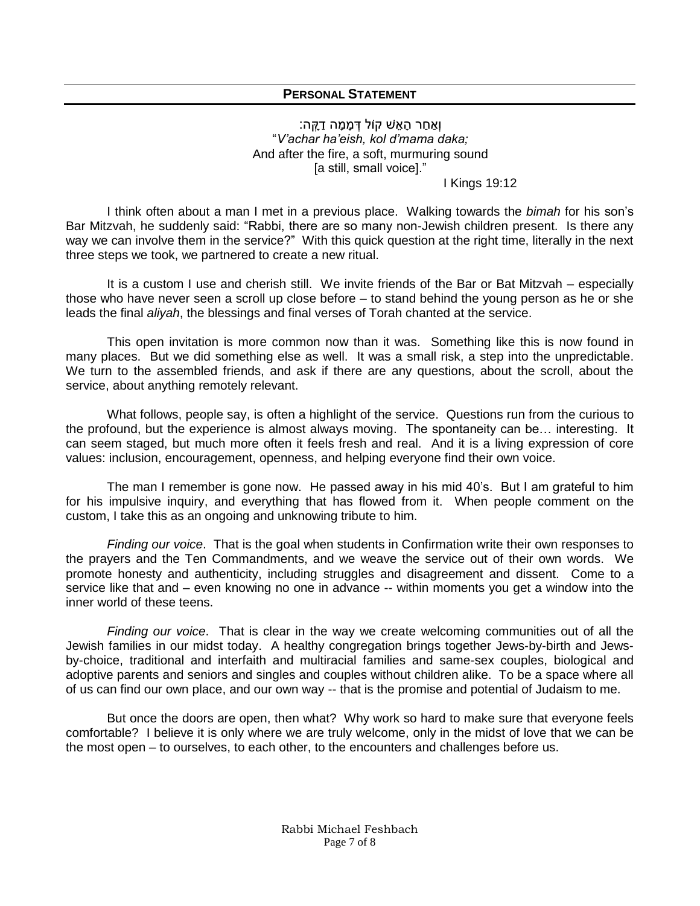# **PERSONAL STATEMENT**

וְאַחַר הָאֵשׁ קוֹל דְּמָמָה דַקֵּה: "*V'achar ha'eish, kol d'mama daka;* And after the fire, a soft, murmuring sound [a still, small voice]."

I Kings 19:12

I think often about a man I met in a previous place. Walking towards the *bimah* for his son's Bar Mitzvah, he suddenly said: "Rabbi, there are so many non-Jewish children present. Is there any way we can involve them in the service?" With this quick question at the right time, literally in the next three steps we took, we partnered to create a new ritual.

It is a custom I use and cherish still. We invite friends of the Bar or Bat Mitzvah – especially those who have never seen a scroll up close before – to stand behind the young person as he or she leads the final *aliyah*, the blessings and final verses of Torah chanted at the service.

This open invitation is more common now than it was. Something like this is now found in many places. But we did something else as well. It was a small risk, a step into the unpredictable. We turn to the assembled friends, and ask if there are any questions, about the scroll, about the service, about anything remotely relevant.

What follows, people say, is often a highlight of the service. Questions run from the curious to the profound, but the experience is almost always moving. The spontaneity can be… interesting. It can seem staged, but much more often it feels fresh and real. And it is a living expression of core values: inclusion, encouragement, openness, and helping everyone find their own voice.

The man I remember is gone now. He passed away in his mid 40's. But I am grateful to him for his impulsive inquiry, and everything that has flowed from it. When people comment on the custom, I take this as an ongoing and unknowing tribute to him.

*Finding our voice*. That is the goal when students in Confirmation write their own responses to the prayers and the Ten Commandments, and we weave the service out of their own words. We promote honesty and authenticity, including struggles and disagreement and dissent. Come to a service like that and – even knowing no one in advance -- within moments you get a window into the inner world of these teens.

*Finding our voice*. That is clear in the way we create welcoming communities out of all the Jewish families in our midst today. A healthy congregation brings together Jews-by-birth and Jewsby-choice, traditional and interfaith and multiracial families and same-sex couples, biological and adoptive parents and seniors and singles and couples without children alike. To be a space where all of us can find our own place, and our own way -- that is the promise and potential of Judaism to me.

But once the doors are open, then what? Why work so hard to make sure that everyone feels comfortable? I believe it is only where we are truly welcome, only in the midst of love that we can be the most open – to ourselves, to each other, to the encounters and challenges before us.